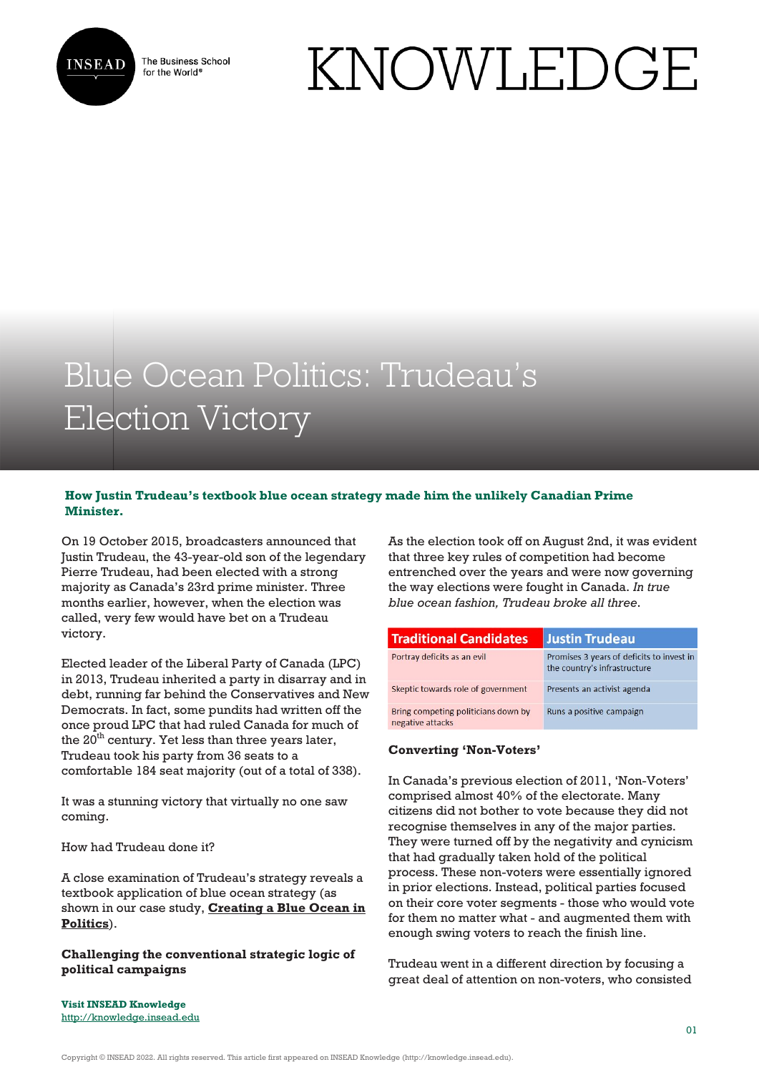

The Business School for the World<sup>®</sup>

# KNOWLEDGE

# Blue Ocean Politics: Trudeau's Election Victory

## **How Justin Trudeau's textbook blue ocean strategy made him the unlikely Canadian Prime Minister.**

On 19 October 2015, broadcasters announced that Justin Trudeau, the 43-year-old son of the legendary Pierre Trudeau, had been elected with a strong majority as Canada's 23rd prime minister. Three months earlier, however, when the election was called, very few would have bet on a Trudeau victory.

Elected leader of the Liberal Party of Canada (LPC) in 2013, Trudeau inherited a party in disarray and in debt, running far behind the Conservatives and New Democrats. In fact, some pundits had written off the once proud LPC that had ruled Canada for much of the  $20<sup>th</sup>$  century. Yet less than three years later, Trudeau took his party from 36 seats to a comfortable 184 seat majority (out of a total of 338).

It was a stunning victory that virtually no one saw coming.

How had Trudeau done it?

A close examination of Trudeau's strategy reveals a textbook application of blue ocean strategy (as shown in our case study, **[Creating a Blue Ocean in](https://cases.insead.edu/publishing/case?code=34526) [Politics](https://cases.insead.edu/publishing/case?code=34526)**).

**Challenging the conventional strategic logic of political campaigns**

As the election took off on August 2nd, it was evident that three key rules of competition had become entrenched over the years and were now governing the way elections were fought in Canada. *In true blue ocean fashion, Trudeau broke all three*.

| <b>Traditional Candidates</b>                           | <b>Justin Trudeau</b>                                                     |
|---------------------------------------------------------|---------------------------------------------------------------------------|
| Portray deficits as an evil                             | Promises 3 years of deficits to invest in<br>the country's infrastructure |
| Skeptic towards role of government                      | Presents an activist agenda                                               |
| Bring competing politicians down by<br>negative attacks | Runs a positive campaign                                                  |

#### **Converting 'Non-Voters'**

In Canada's previous election of 2011, 'Non-Voters' comprised almost 40% of the electorate. Many citizens did not bother to vote because they did not recognise themselves in any of the major parties. They were turned off by the negativity and cynicism that had gradually taken hold of the political process. These non-voters were essentially ignored in prior elections. Instead, political parties focused on their core voter segments - those who would vote for them no matter what - and augmented them with enough swing voters to reach the finish line.

Trudeau went in a different direction by focusing a great deal of attention on non-voters, who consisted

**Visit INSEAD Knowledge** <http://knowledge.insead.edu>

Copyright © INSEAD 2022. All rights reserved. This article first appeared on INSEAD Knowledge (http://knowledge.insead.edu).